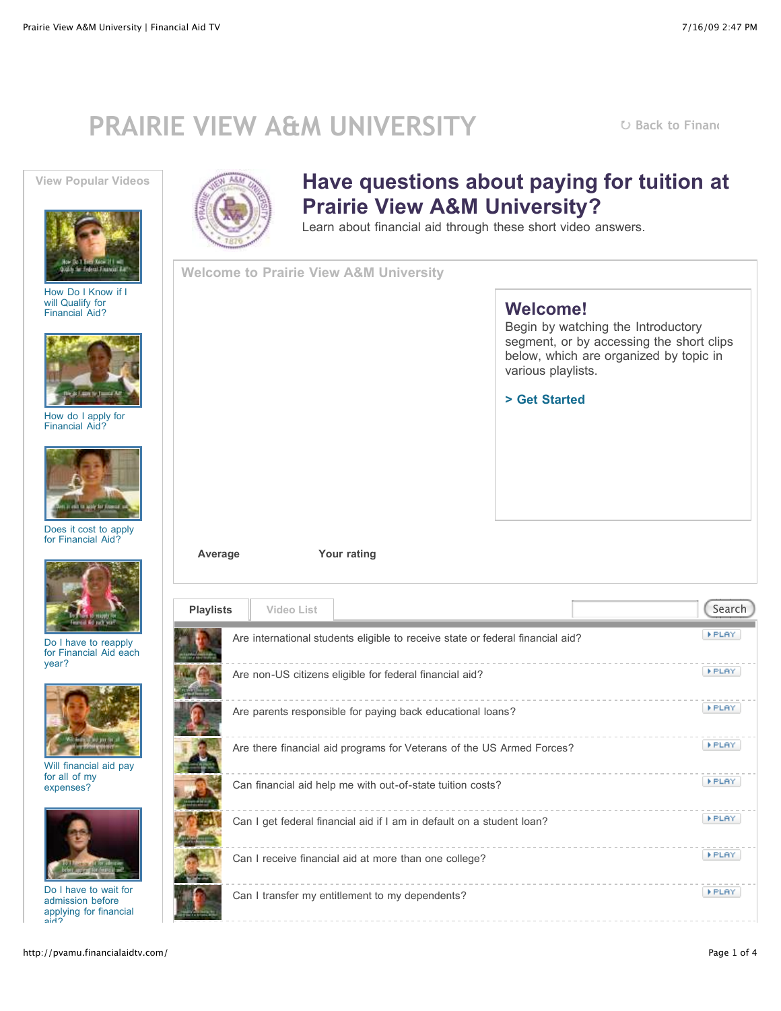## **PRAIRIE VIEW A&M UNIVERSITY URAIRIE VIEW A&M UNIVERSITY URACA U** [Back to Financ](http://www.pvamu.edu/faid)





[How Do I Know if I](http://pvamu.financialaidtv.com/#) will Qualify for Financial Aid?



[How do I apply for](http://pvamu.financialaidtv.com/#) Financial Aid?



[Does it cost to apply](http://pvamu.financialaidtv.com/#) for Financial Aid?



Do I have to reapply [for Financial Aid each](http://pvamu.financialaidtv.com/#) year?



[Will financial aid pay](http://pvamu.financialaidtv.com/#) for all of my expenses?



Do I have to wait for admission before [applying for financial](http://pvamu.financialaidtv.com/#) aid?



## **Have questions about paying for tuition at Prairie View A&M University?**

Learn about financial aid through these short video answers.

**Welcome to Prairie View A&M University**

## **Welcome!**

Begin by watching the Introductory segment, or by accessing the short clips below, which are organized by topic in various playlists.

**[> Get Started](http://pvamu.financialaidtv.com/#)**



| <b>Playlists</b> | <b>Video List</b> |                                                                       |                                                                                | Search       |
|------------------|-------------------|-----------------------------------------------------------------------|--------------------------------------------------------------------------------|--------------|
|                  |                   |                                                                       | Are international students eligible to receive state or federal financial aid? | <b>FPLAY</b> |
|                  |                   | Are non-US citizens eligible for federal financial aid?               |                                                                                | <b>FPLAY</b> |
|                  |                   | Are parents responsible for paying back educational loans?            |                                                                                | <b>FPLAY</b> |
|                  |                   |                                                                       | Are there financial aid programs for Veterans of the US Armed Forces?          | <b>FPLAY</b> |
|                  |                   | Can financial aid help me with out-of-state tuition costs?            |                                                                                | <b>FPLAY</b> |
|                  |                   | Can I get federal financial aid if I am in default on a student loan? |                                                                                | <b>FPLAY</b> |
|                  |                   | Can I receive financial aid at more than one college?                 |                                                                                | <b>FPLAY</b> |
|                  |                   | Can I transfer my entitlement to my dependents?                       |                                                                                | <b>FPLAY</b> |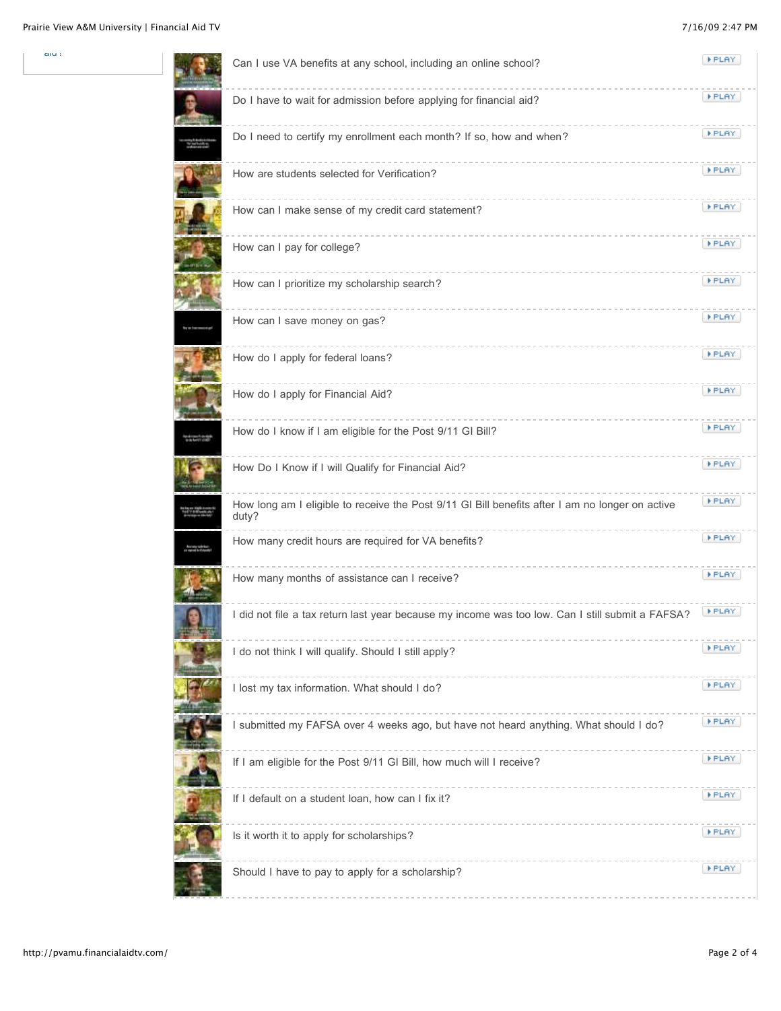aiu :

|  | Can I use VA benefits at any school, including an online school?                                         | <b>FPLAY</b> |
|--|----------------------------------------------------------------------------------------------------------|--------------|
|  | Do I have to wait for admission before applying for financial aid?                                       | <b>FPLAY</b> |
|  | Do I need to certify my enrollment each month? If so, how and when?                                      | <b>FPLAY</b> |
|  | How are students selected for Verification?                                                              | <b>FPLAY</b> |
|  | How can I make sense of my credit card statement?                                                        | <b>FPLAY</b> |
|  | How can I pay for college?                                                                               | <b>FPLAY</b> |
|  | How can I prioritize my scholarship search?                                                              | <b>FPLAY</b> |
|  | How can I save money on gas?                                                                             | <b>FPLAY</b> |
|  | How do I apply for federal loans?                                                                        | <b>FPLAY</b> |
|  | How do I apply for Financial Aid?                                                                        | <b>FPLAY</b> |
|  | How do I know if I am eligible for the Post 9/11 GI Bill?                                                | <b>FPLAY</b> |
|  | How Do I Know if I will Qualify for Financial Aid?                                                       | <b>FPLAY</b> |
|  | How long am I eligible to receive the Post 9/11 GI Bill benefits after I am no longer on active<br>duty? | <b>FPLAY</b> |
|  | How many credit hours are required for VA benefits?                                                      | <b>FPLAY</b> |
|  | How many months of assistance can I receive?                                                             | <b>FPLAY</b> |
|  | I did not file a tax return last year because my income was too low. Can I still submit a FAFSA?         | FPLAY.       |
|  | I do not think I will qualify. Should I still apply?                                                     | <b>FPLAY</b> |
|  | I lost my tax information. What should I do?                                                             | <b>FPLAY</b> |
|  | I submitted my FAFSA over 4 weeks ago, but have not heard anything. What should I do?                    | <b>FPLAY</b> |
|  | If I am eligible for the Post 9/11 GI Bill, how much will I receive?                                     | FPLAY.       |
|  | If I default on a student loan, how can I fix it?                                                        | <b>FPLAY</b> |
|  | Is it worth it to apply for scholarships?                                                                | <b>FPLAY</b> |
|  | Should I have to pay to apply for a scholarship?                                                         | <b>FPLAY</b> |
|  |                                                                                                          |              |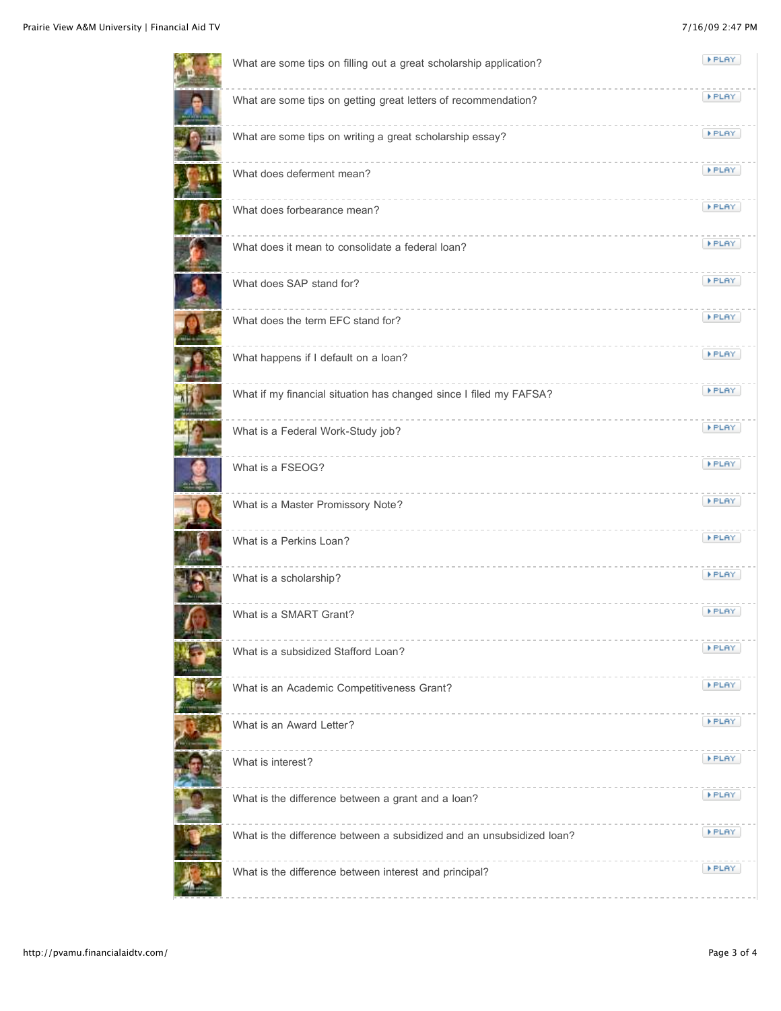| What are some tips on filling out a great scholarship application?    | FPLAY.       |
|-----------------------------------------------------------------------|--------------|
| What are some tips on getting great letters of recommendation?        | <b>FPLAY</b> |
| What are some tips on writing a great scholarship essay?              | <b>FPLAY</b> |
| What does deferment mean?                                             | <b>FPLAY</b> |
| What does forbearance mean?                                           | <b>FPLAY</b> |
| What does it mean to consolidate a federal loan?                      | <b>FPLAY</b> |
| What does SAP stand for?                                              | <b>FPLAY</b> |
| What does the term EFC stand for?                                     | <b>FPLAY</b> |
| What happens if I default on a loan?                                  | <b>FPLAY</b> |
| What if my financial situation has changed since I filed my FAFSA?    | <b>FPLAY</b> |
| What is a Federal Work-Study job?                                     | <b>FPLAY</b> |
| What is a FSEOG?                                                      | <b>FPLAY</b> |
| What is a Master Promissory Note?                                     | <b>FPLAY</b> |
| What is a Perkins Loan?                                               | <b>FPLAY</b> |
| What is a scholarship?                                                | <b>FPLAY</b> |
| What is a SMART Grant?                                                | <b>FPLAY</b> |
| What is a subsidized Stafford Loan?                                   | <b>FPLAY</b> |
| What is an Academic Competitiveness Grant?                            | <b>FPLAY</b> |
| What is an Award Letter?                                              | <b>FPLAY</b> |
| What is interest?                                                     | <b>FPLAY</b> |
| What is the difference between a grant and a loan?                    | <b>FPLAY</b> |
| What is the difference between a subsidized and an unsubsidized loan? | <b>FPLAY</b> |
| What is the difference between interest and principal?                | <b>FPLAY</b> |